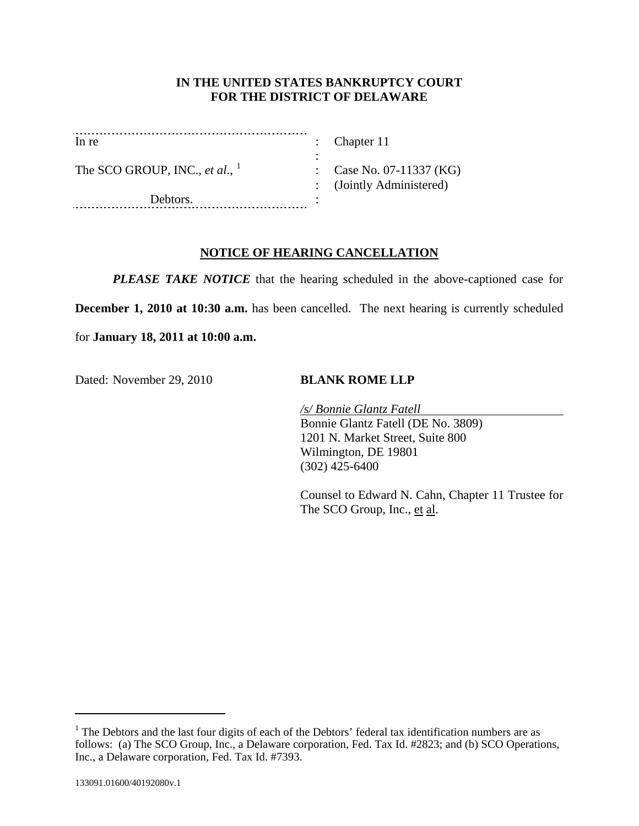## **IN THE UNITED STATES BANKRUPTCY COURT FOR THE DISTRICT OF DELAWARE**

| In re                             | : Chapter $11$           |
|-----------------------------------|--------------------------|
| The SCO GROUP, INC., et al., $^1$ | $\therefore$ Case No. 07 |
| Debtors.                          | $:$ (Jointly Adr         |

7-11337 (KG) ministered)

# **NOTICE OF HEARING CANCELLATION**

*PLEASE TAKE NOTICE* that the hearing scheduled in the above-captioned case for

**December 1, 2010 at 10:30 a.m.** has been cancelled. The next hearing is currently scheduled

for **January 18, 2011 at 10:00 a.m.**

Dated: November 29, 2010 **BLANK ROME LLP** 

*/s/ Bonnie Glantz Fatell* Bonnie Glantz Fatell (DE No. 3809) 1201 N. Market Street, Suite 800 Wilmington, DE 19801 (302) 425-6400

Counsel to Edward N. Cahn, Chapter 11 Trustee for The SCO Group, Inc., et al.

 $\overline{a}$ 

<span id="page-0-0"></span><sup>&</sup>lt;sup>1</sup> The Debtors and the last four digits of each of the Debtors' federal tax identification numbers are as follows: (a) The SCO Group, Inc., a Delaware corporation, Fed. Tax Id. #2823; and (b) SCO Operations, Inc., a Delaware corporation, Fed. Tax Id. #7393.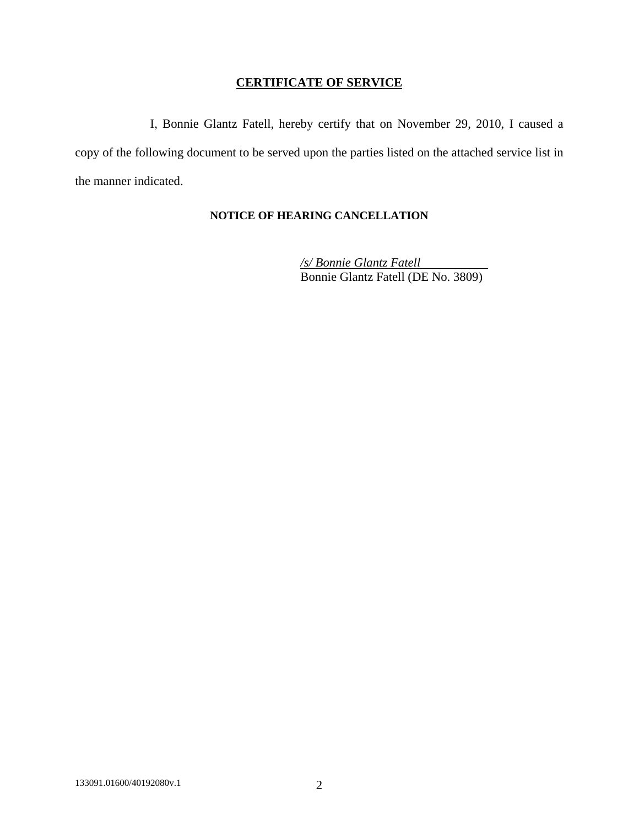## **CERTIFICATE OF SERVICE**

I, Bonnie Glantz Fatell, hereby certify that on November 29, 2010, I caused a copy of the following document to be served upon the parties listed on the attached service list in the manner indicated.

## **NOTICE OF HEARING CANCELLATION**

*/s/ Bonnie Glantz Fatell* Bonnie Glantz Fatell (DE No. 3809)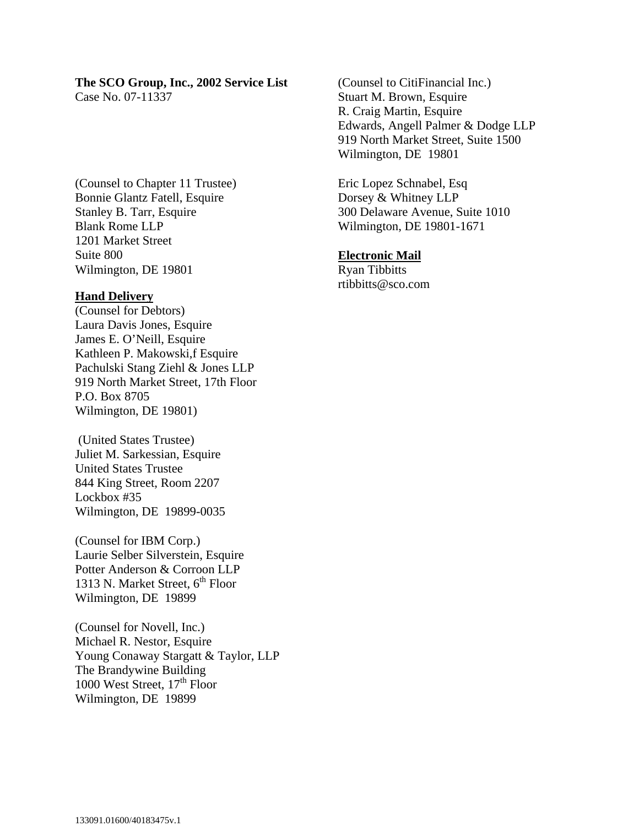## **The SCO Group, Inc., 2002 Service List**

Case No. 07-11337

(Counsel to Chapter 11 Trustee) Bonnie Glantz Fatell, Esquire Stanley B. Tarr, Esquire Blank Rome LLP 1201 Market Street Suite 800 Wilmington, DE 19801

### **Hand Delivery**

(Counsel for Debtors) Laura Davis Jones, Esquire James E. O'Neill, Esquire Kathleen P. Makowski,f Esquire Pachulski Stang Ziehl & Jones LLP 919 North Market Street, 17th Floor P.O. Box 8705 Wilmington, DE 19801)

 (United States Trustee) Juliet M. Sarkessian, Esquire United States Trustee 844 King Street, Room 2207 Lockbox #35 Wilmington, DE 19899-0035

(Counsel for IBM Corp.) Laurie Selber Silverstein, Esquire Potter Anderson & Corroon LLP 1313 N. Market Street,  $6<sup>th</sup>$  Floor Wilmington, DE 19899

(Counsel for Novell, Inc.) Michael R. Nestor, Esquire Young Conaway Stargatt & Taylor, LLP The Brandywine Building 1000 West Street, 17<sup>th</sup> Floor Wilmington, DE 19899

(Counsel to CitiFinancial Inc.) Stuart M. Brown, Esquire R. Craig Martin, Esquire Edwards, Angell Palmer & Dodge LLP 919 North Market Street, Suite 1500 Wilmington, DE 19801

Eric Lopez Schnabel, Esq Dorsey & Whitney LLP 300 Delaware Avenue, Suite 1010 Wilmington, DE 19801-1671

### **Electronic Mail**

Ryan Tibbitts rtibbitts@sco.com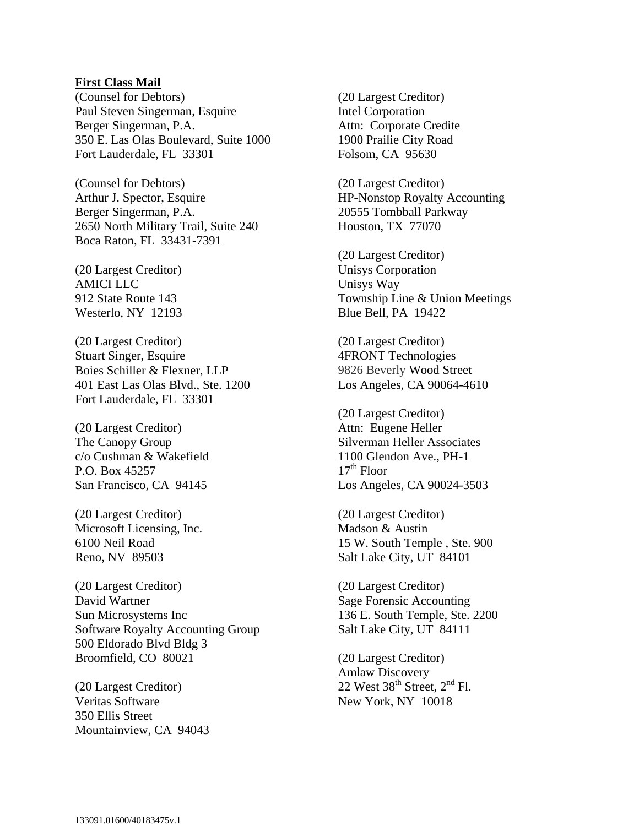#### **First Class Mail**

(Counsel for Debtors) Paul Steven Singerman, Esquire Berger Singerman, P.A. 350 E. Las Olas Boulevard, Suite 1000 Fort Lauderdale, FL 33301

(Counsel for Debtors) Arthur J. Spector, Esquire Berger Singerman, P.A. 2650 North Military Trail, Suite 240 Boca Raton, FL 33431-7391

(20 Largest Creditor) AMICI LLC 912 State Route 143 Westerlo, NY 12193

(20 Largest Creditor) Stuart Singer, Esquire Boies Schiller & Flexner, LLP 401 East Las Olas Blvd., Ste. 1200 Fort Lauderdale, FL 33301

(20 Largest Creditor) The Canopy Group c/o Cushman & Wakefield P.O. Box 45257 San Francisco, CA 94145

(20 Largest Creditor) Microsoft Licensing, Inc. 6100 Neil Road Reno, NV 89503

(20 Largest Creditor) David Wartner Sun Microsystems Inc Software Royalty Accounting Group 500 Eldorado Blvd Bldg 3 Broomfield, CO 80021

(20 Largest Creditor) Veritas Software 350 Ellis Street Mountainview, CA 94043 (20 Largest Creditor) Intel Corporation Attn: Corporate Credite 1900 Prailie City Road Folsom, CA 95630

(20 Largest Creditor) HP-Nonstop Royalty Accounting 20555 Tombball Parkway Houston, TX 77070

(20 Largest Creditor) Unisys Corporation Unisys Way Township Line & Union Meetings Blue Bell, PA 19422

(20 Largest Creditor) 4FRONT Technologies 9826 Beverly Wood Street Los Angeles, CA 90064-4610

(20 Largest Creditor) Attn: Eugene Heller Silverman Heller Associates 1100 Glendon Ave., PH-1  $17<sup>th</sup>$  Floor Los Angeles, CA 90024-3503

(20 Largest Creditor) Madson & Austin 15 W. South Temple , Ste. 900 Salt Lake City, UT 84101

(20 Largest Creditor) Sage Forensic Accounting 136 E. South Temple, Ste. 2200 Salt Lake City, UT 84111

(20 Largest Creditor) Amlaw Discovery 22 West  $38<sup>th</sup>$  Street,  $2<sup>nd</sup>$  Fl. New York, NY 10018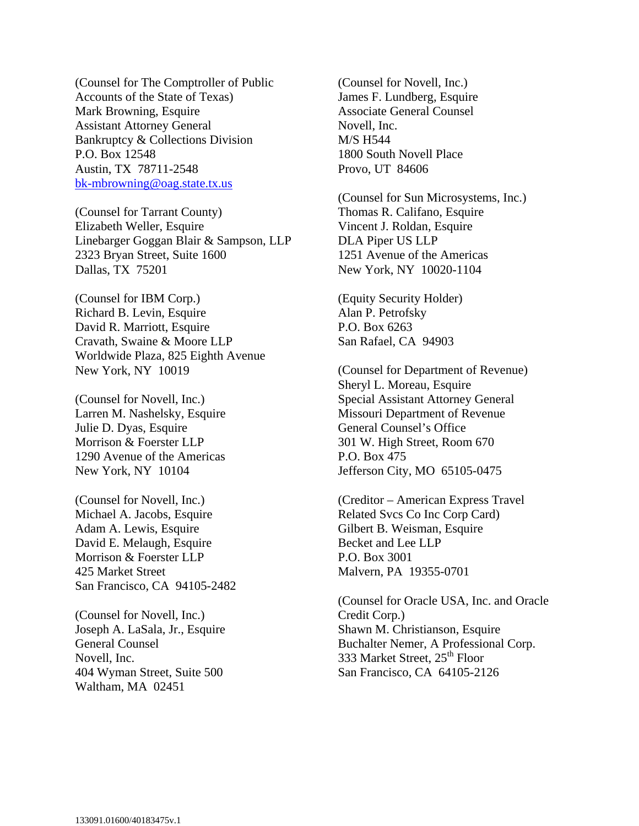(Counsel for The Comptroller of Public Accounts of the State of Texas) Mark Browning, Esquire Assistant Attorney General Bankruptcy & Collections Division P.O. Box 12548 Austin, TX 78711-2548 bk-mbrowning@oag.state.tx.us

(Counsel for Tarrant County) Elizabeth Weller, Esquire Linebarger Goggan Blair & Sampson, LLP 2323 Bryan Street, Suite 1600 Dallas, TX 75201

(Counsel for IBM Corp.) Richard B. Levin, Esquire David R. Marriott, Esquire Cravath, Swaine & Moore LLP Worldwide Plaza, 825 Eighth Avenue New York, NY 10019

(Counsel for Novell, Inc.) Larren M. Nashelsky, Esquire Julie D. Dyas, Esquire Morrison & Foerster LLP 1290 Avenue of the Americas New York, NY 10104

(Counsel for Novell, Inc.) Michael A. Jacobs, Esquire Adam A. Lewis, Esquire David E. Melaugh, Esquire Morrison & Foerster LLP 425 Market Street San Francisco, CA 94105-2482

(Counsel for Novell, Inc.) Joseph A. LaSala, Jr., Esquire General Counsel Novell, Inc. 404 Wyman Street, Suite 500 Waltham, MA 02451

(Counsel for Novell, Inc.) James F. Lundberg, Esquire Associate General Counsel Novell, Inc. M/S H544 1800 South Novell Place Provo, UT 84606

(Counsel for Sun Microsystems, Inc.) Thomas R. Califano, Esquire Vincent J. Roldan, Esquire DLA Piper US LLP 1251 Avenue of the Americas New York, NY 10020-1104

(Equity Security Holder) Alan P. Petrofsky P.O. Box 6263 San Rafael, CA 94903

(Counsel for Department of Revenue) Sheryl L. Moreau, Esquire Special Assistant Attorney General Missouri Department of Revenue General Counsel's Office 301 W. High Street, Room 670 P.O. Box 475 Jefferson City, MO 65105-0475

(Creditor – American Express Travel Related Svcs Co Inc Corp Card) Gilbert B. Weisman, Esquire Becket and Lee LLP P.O. Box 3001 Malvern, PA 19355-0701

(Counsel for Oracle USA, Inc. and Oracle Credit Corp.) Shawn M. Christianson, Esquire Buchalter Nemer, A Professional Corp. 333 Market Street, 25<sup>th</sup> Floor San Francisco, CA 64105-2126